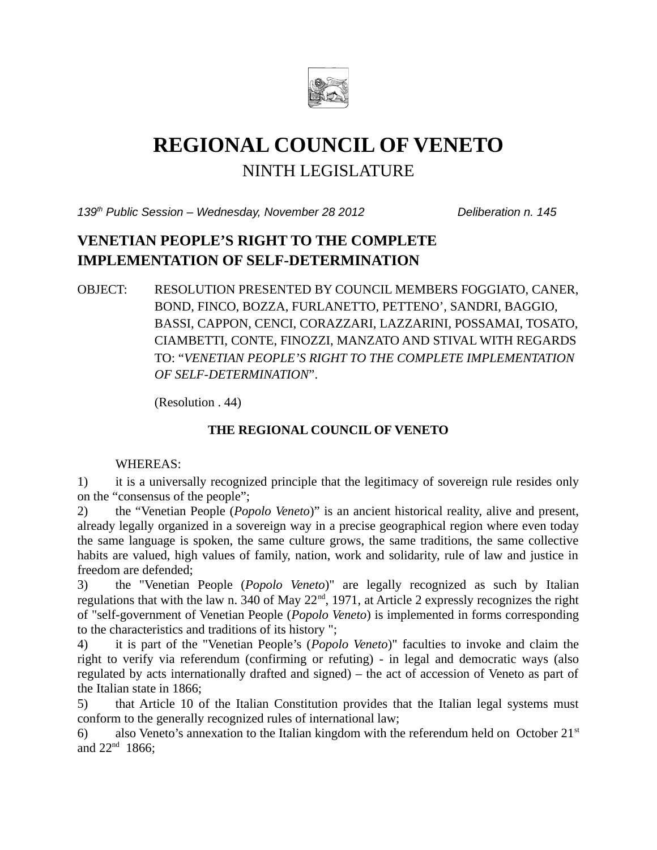

# **REGIONAL COUNCIL OF VENETO** NINTH LEGISLATURE

*139th Public Session – Wednesday, November 28 2012 Deliberation n. 145*

# **VENETIAN PEOPLE'S RIGHT TO THE COMPLETE IMPLEMENTATION OF SELF-DETERMINATION**

OBJECT: RESOLUTION PRESENTED BY COUNCIL MEMBERS FOGGIATO, CANER, BOND, FINCO, BOZZA, FURLANETTO, PETTENO', SANDRI, BAGGIO, BASSI, CAPPON, CENCI, CORAZZARI, LAZZARINI, POSSAMAI, TOSATO, CIAMBETTI, CONTE, FINOZZI, MANZATO AND STIVAL WITH REGARDS TO: "*VENETIAN PEOPLE'S RIGHT TO THE COMPLETE IMPLEMENTATION OF SELF-DETERMINATION*".

(Resolution . 44)

## **THE REGIONAL COUNCIL OF VENETO**

### WHEREAS:

1) it is a universally recognized principle that the legitimacy of sovereign rule resides only on the "consensus of the people";

2) the "Venetian People (*Popolo Veneto*)" is an ancient historical reality, alive and present, already legally organized in a sovereign way in a precise geographical region where even today the same language is spoken, the same culture grows, the same traditions, the same collective habits are valued, high values of family, nation, work and solidarity, rule of law and justice in freedom are defended;

3) the "Venetian People (*Popolo Veneto*)" are legally recognized as such by Italian regulations that with the law n. 340 of May 22<sup>nd</sup>, 1971, at Article 2 expressly recognizes the right of "self-government of Venetian People (*Popolo Veneto*) is implemented in forms corresponding to the characteristics and traditions of its history ";

4) it is part of the "Venetian People's (*Popolo Veneto*)" faculties to invoke and claim the right to verify via referendum (confirming or refuting) - in legal and democratic ways (also regulated by acts internationally drafted and signed) – the act of accession of Veneto as part of the Italian state in 1866;

5) that Article 10 of the Italian Constitution provides that the Italian legal systems must conform to the generally recognized rules of international law;

6) also Veneto's annexation to the Italian kingdom with the referendum held on October  $21<sup>st</sup>$ and  $22^{nd}$  1866;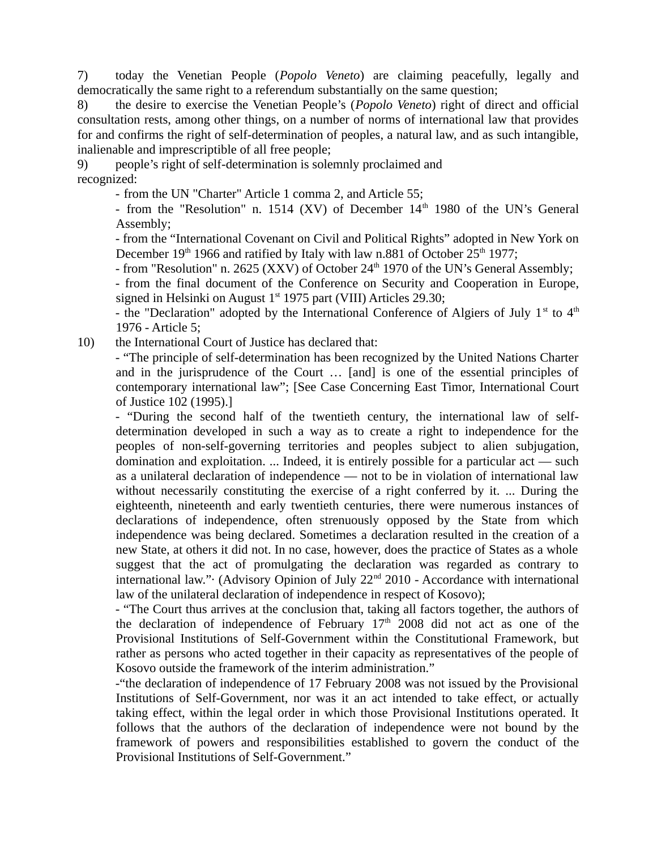7) today the Venetian People (*Popolo Veneto*) are claiming peacefully, legally and democratically the same right to a referendum substantially on the same question;

8) the desire to exercise the Venetian People's (*Popolo Veneto*) right of direct and official consultation rests, among other things, on a number of norms of international law that provides for and confirms the right of self-determination of peoples, a natural law, and as such intangible, inalienable and imprescriptible of all free people;

9) people's right of self-determination is solemnly proclaimed and recognized:

- from the UN "Charter" Article 1 comma 2, and Article 55;

- from the "Resolution" n. 1514 (XV) of December  $14<sup>th</sup>$  1980 of the UN's General Assembly;

- from the "International Covenant on Civil and Political Rights" adopted in New York on December  $19<sup>th</sup> 1966$  and ratified by Italy with law n.881 of October  $25<sup>th</sup> 1977$ ;

- from "Resolution" n. 2625 (XXV) of October 24<sup>th</sup> 1970 of the UN's General Assembly;

- from the final document of the Conference on Security and Cooperation in Europe, signed in Helsinki on August  $1<sup>st</sup>$  1975 part (VIII) Articles 29.30;

- the "Declaration" adopted by the International Conference of Algiers of July  $1<sup>st</sup>$  to  $4<sup>th</sup>$ 1976 - Article 5;

10) the International Court of Justice has declared that:

- "The principle of self-determination has been recognized by the United Nations Charter and in the jurisprudence of the Court … [and] is one of the essential principles of contemporary international law"; [See Case Concerning East Timor, International Court of Justice 102 (1995).]

- "During the second half of the twentieth century, the international law of selfdetermination developed in such a way as to create a right to independence for the peoples of non-self-governing territories and peoples subject to alien subjugation, domination and exploitation. ... Indeed, it is entirely possible for a particular act — such as a unilateral declaration of independence — not to be in violation of international law without necessarily constituting the exercise of a right conferred by it. ... During the eighteenth, nineteenth and early twentieth centuries, there were numerous instances of declarations of independence, often strenuously opposed by the State from which independence was being declared. Sometimes a declaration resulted in the creation of a new State, at others it did not. In no case, however, does the practice of States as a whole suggest that the act of promulgating the declaration was regarded as contrary to international law." (Advisory Opinion of July 22<sup>nd</sup> 2010 - Accordance with international law of the unilateral declaration of independence in respect of Kosovo);

- "The Court thus arrives at the conclusion that, taking all factors together, the authors of the declaration of independence of February  $17<sup>th</sup>$  2008 did not act as one of the Provisional Institutions of Self-Government within the Constitutional Framework, but rather as persons who acted together in their capacity as representatives of the people of Kosovo outside the framework of the interim administration."

-"the declaration of independence of 17 February 2008 was not issued by the Provisional Institutions of Self-Government, nor was it an act intended to take effect, or actually taking effect, within the legal order in which those Provisional Institutions operated. It follows that the authors of the declaration of independence were not bound by the framework of powers and responsibilities established to govern the conduct of the Provisional Institutions of Self-Government."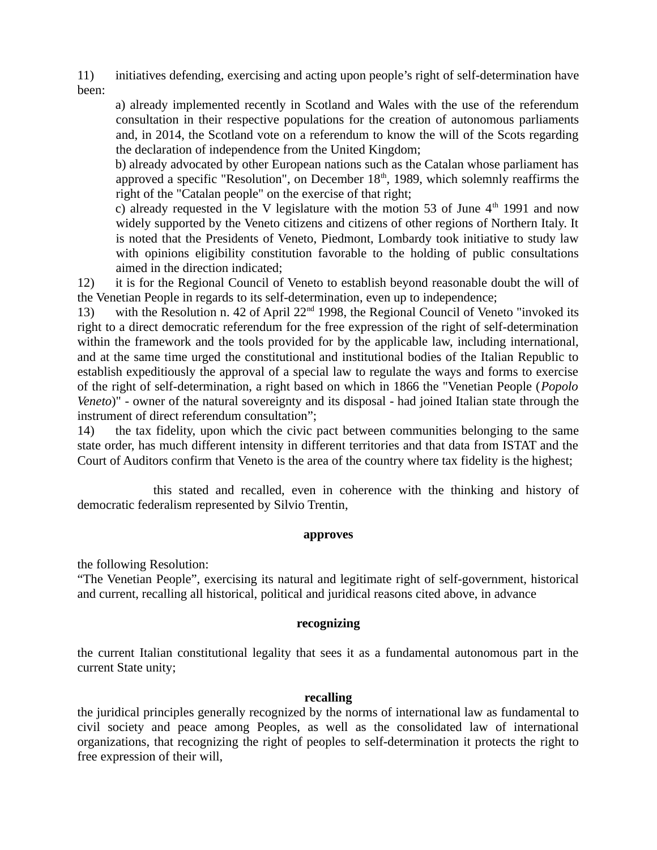11) initiatives defending, exercising and acting upon people's right of self-determination have been:

a) already implemented recently in Scotland and Wales with the use of the referendum consultation in their respective populations for the creation of autonomous parliaments and, in 2014, the Scotland vote on a referendum to know the will of the Scots regarding the declaration of independence from the United Kingdom;

b) already advocated by other European nations such as the Catalan whose parliament has approved a specific "Resolution", on December  $18<sup>th</sup>$ , 1989, which solemnly reaffirms the right of the "Catalan people" on the exercise of that right;

c) already requested in the V legislature with the motion 53 of June  $4<sup>th</sup>$  1991 and now widely supported by the Veneto citizens and citizens of other regions of Northern Italy. It is noted that the Presidents of Veneto, Piedmont, Lombardy took initiative to study law with opinions eligibility constitution favorable to the holding of public consultations aimed in the direction indicated;

12) it is for the Regional Council of Veneto to establish beyond reasonable doubt the will of the Venetian People in regards to its self-determination, even up to independence;

13) with the Resolution n. 42 of April 22<sup>nd</sup> 1998, the Regional Council of Veneto "invoked its right to a direct democratic referendum for the free expression of the right of self-determination within the framework and the tools provided for by the applicable law, including international, and at the same time urged the constitutional and institutional bodies of the Italian Republic to establish expeditiously the approval of a special law to regulate the ways and forms to exercise of the right of self-determination, a right based on which in 1866 the "Venetian People (*Popolo Veneto*)" - owner of the natural sovereignty and its disposal - had joined Italian state through the instrument of direct referendum consultation";

14) the tax fidelity, upon which the civic pact between communities belonging to the same state order, has much different intensity in different territories and that data from ISTAT and the Court of Auditors confirm that Veneto is the area of the country where tax fidelity is the highest;

this stated and recalled, even in coherence with the thinking and history of democratic federalism represented by Silvio Trentin,

#### **approves**

the following Resolution:

"The Venetian People", exercising its natural and legitimate right of self-government, historical and current, recalling all historical, political and juridical reasons cited above, in advance

#### **recognizing**

the current Italian constitutional legality that sees it as a fundamental autonomous part in the current State unity;

#### **recalling**

the juridical principles generally recognized by the norms of international law as fundamental to civil society and peace among Peoples, as well as the consolidated law of international organizations, that recognizing the right of peoples to self-determination it protects the right to free expression of their will,